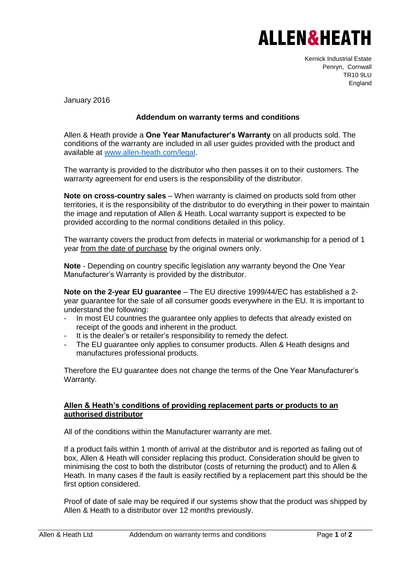## **ALLEN&HEATH**

Kernick Industrial Estate Penryn, Cornwall TR10 9LU England

January 2016

## **Addendum on warranty terms and conditions**

Allen & Heath provide a **One Year Manufacturer's Warranty** on all products sold. The conditions of the warranty are included in all user guides provided with the product and available at [www.allen-heath.com/legal.](http://www.allen-heath.com/legal)

The warranty is provided to the distributor who then passes it on to their customers. The warranty agreement for end users is the responsibility of the distributor.

**Note on cross-country sales** – When warranty is claimed on products sold from other territories, it is the responsibility of the distributor to do everything in their power to maintain the image and reputation of Allen & Heath. Local warranty support is expected to be provided according to the normal conditions detailed in this policy.

The warranty covers the product from defects in material or workmanship for a period of 1 year from the date of purchase by the original owners only.

**Note** - Depending on country specific legislation any warranty beyond the One Year Manufacturer's Warranty is provided by the distributor.

**Note on the 2-year EU guarantee** – The EU directive 1999/44/EC has established a 2 year guarantee for the sale of all consumer goods everywhere in the EU. It is important to understand the following:

- In most EU countries the guarantee only applies to defects that already existed on receipt of the goods and inherent in the product.
- It is the dealer's or retailer's responsibility to remedy the defect.
- The EU guarantee only applies to consumer products. Allen & Heath designs and manufactures professional products.

Therefore the EU guarantee does not change the terms of the One Year Manufacturer's Warranty.

## **Allen & Heath's conditions of providing replacement parts or products to an authorised distributor**

All of the conditions within the Manufacturer warranty are met.

If a product fails within 1 month of arrival at the distributor and is reported as failing out of box, Allen & Heath will consider replacing this product. Consideration should be given to minimising the cost to both the distributor (costs of returning the product) and to Allen & Heath. In many cases if the fault is easily rectified by a replacement part this should be the first option considered.

Proof of date of sale may be required if our systems show that the product was shipped by Allen & Heath to a distributor over 12 months previously.